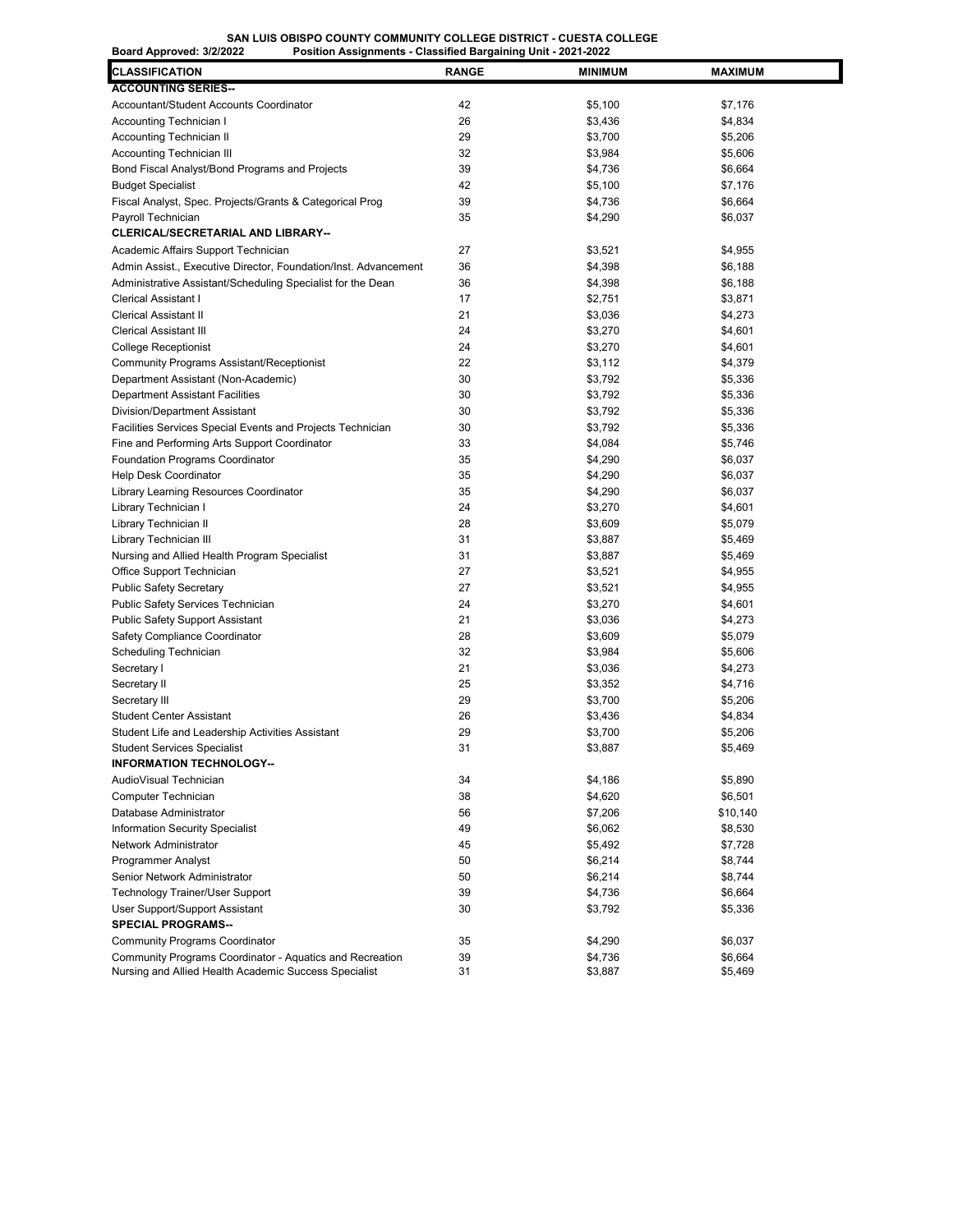## **SAN LUIS OBISPO COUNTY COMMUNITY COLLEGE DISTRICT - CUESTA COLLEGE**

| <b>CLASSIFICATION</b>                                                                                             | <b>RANGE</b> | <b>MINIMUM</b>     | <b>MAXIMUM</b>     |
|-------------------------------------------------------------------------------------------------------------------|--------------|--------------------|--------------------|
| <b>ACCOUNTING SERIES--</b>                                                                                        |              |                    |                    |
| Accountant/Student Accounts Coordinator                                                                           | 42           | \$5,100            | \$7,176            |
| Accounting Technician I                                                                                           | 26           | \$3,436            | \$4,834            |
| Accounting Technician II                                                                                          | 29           | \$3,700            | \$5,206            |
| Accounting Technician III                                                                                         | 32           | \$3,984            | \$5,606            |
| Bond Fiscal Analyst/Bond Programs and Projects                                                                    | 39           | \$4,736            | \$6,664            |
| <b>Budget Specialist</b>                                                                                          | 42           | \$5,100            | \$7,176            |
| Fiscal Analyst, Spec. Projects/Grants & Categorical Prog                                                          | 39           | \$4,736            | \$6,664            |
| Payroll Technician                                                                                                | 35           | \$4,290            | \$6,037            |
| <b>CLERICAL/SECRETARIAL AND LIBRARY--</b>                                                                         |              |                    |                    |
| Academic Affairs Support Technician                                                                               | 27           | \$3,521            | \$4,955            |
| Admin Assist., Executive Director, Foundation/Inst. Advancement                                                   | 36           | \$4,398            | \$6,188            |
| Administrative Assistant/Scheduling Specialist for the Dean                                                       | 36           | \$4,398            | \$6,188            |
| Clerical Assistant I                                                                                              | 17           | \$2,751            | \$3,871            |
| <b>Clerical Assistant II</b>                                                                                      | 21           | \$3,036            | \$4,273            |
| <b>Clerical Assistant III</b>                                                                                     | 24           | \$3,270            | \$4,601            |
| College Receptionist                                                                                              | 24           | \$3,270            | \$4,601            |
| <b>Community Programs Assistant/Receptionist</b>                                                                  | 22           | \$3,112            | \$4,379            |
| Department Assistant (Non-Academic)                                                                               | 30           | \$3,792            | \$5,336            |
| <b>Department Assistant Facilities</b>                                                                            | 30           | \$3,792            | \$5,336            |
| Division/Department Assistant                                                                                     | 30           | \$3,792            | \$5,336            |
| Facilities Services Special Events and Projects Technician                                                        | 30           | \$3,792            | \$5,336            |
| Fine and Performing Arts Support Coordinator                                                                      | 33           | \$4,084            | \$5,746            |
| <b>Foundation Programs Coordinator</b>                                                                            | 35           | \$4,290            | \$6,037            |
| Help Desk Coordinator                                                                                             | 35           | \$4,290            | \$6,037            |
| Library Learning Resources Coordinator                                                                            | 35           | \$4,290            | \$6,037            |
| Library Technician I                                                                                              | 24           | \$3,270            | \$4,601            |
| Library Technician II                                                                                             | 28           | \$3,609            | \$5,079            |
| Library Technician III                                                                                            | 31           | \$3,887            | \$5,469            |
| Nursing and Allied Health Program Specialist                                                                      | 31           | \$3,887            | \$5,469            |
| Office Support Technician                                                                                         | 27           | \$3,521            | \$4,955            |
| <b>Public Safety Secretary</b>                                                                                    | 27           | \$3,521            | \$4,955            |
| Public Safety Services Technician                                                                                 | 24           | \$3,270            | \$4,601            |
| <b>Public Safety Support Assistant</b>                                                                            | 21           | \$3,036            | \$4,273            |
| Safety Compliance Coordinator                                                                                     | 28           | \$3,609            | \$5,079            |
| Scheduling Technician                                                                                             | 32           | \$3,984            | \$5,606            |
| Secretary I                                                                                                       | 21           | \$3,036            | \$4,273            |
| Secretary II                                                                                                      | 25           | \$3,352            | \$4,716            |
| Secretary III                                                                                                     | 29           | \$3,700            | \$5,206            |
| <b>Student Center Assistant</b>                                                                                   | 26           | \$3,436            | \$4,834            |
| Student Life and Leadership Activities Assistant                                                                  | 29           | \$3,700            | \$5,206            |
| <b>Student Services Specialist</b>                                                                                | 31           | \$3,887            | \$5,469            |
| <b>INFORMATION TECHNOLOGY--</b>                                                                                   |              |                    |                    |
| AudioVisual Technician                                                                                            | 34           | \$4,186            | \$5,890            |
| Computer Technician                                                                                               | 38           | \$4,620            | \$6,501            |
| Database Administrator                                                                                            | 56           | \$7,206            | \$10,140           |
| Information Security Specialist                                                                                   | 49           | \$6,062            | \$8,530            |
| Network Administrator                                                                                             | 45           | \$5,492            | \$7,728            |
| Programmer Analyst                                                                                                | 50           | \$6,214            | \$8,744            |
| Senior Network Administrator                                                                                      | 50           | \$6,214            | \$8,744            |
| Technology Trainer/User Support                                                                                   | 39           | \$4,736            | \$6,664            |
| User Support/Support Assistant                                                                                    |              |                    |                    |
| <b>SPECIAL PROGRAMS--</b>                                                                                         | 30           | \$3,792            | \$5,336            |
|                                                                                                                   |              | \$4,290            |                    |
| <b>Community Programs Coordinator</b>                                                                             | 35           |                    | \$6,037            |
| Community Programs Coordinator - Aquatics and Recreation<br>Nursing and Allied Health Academic Success Specialist | 39<br>31     | \$4,736<br>\$3,887 | \$6,664<br>\$5,469 |
|                                                                                                                   |              |                    |                    |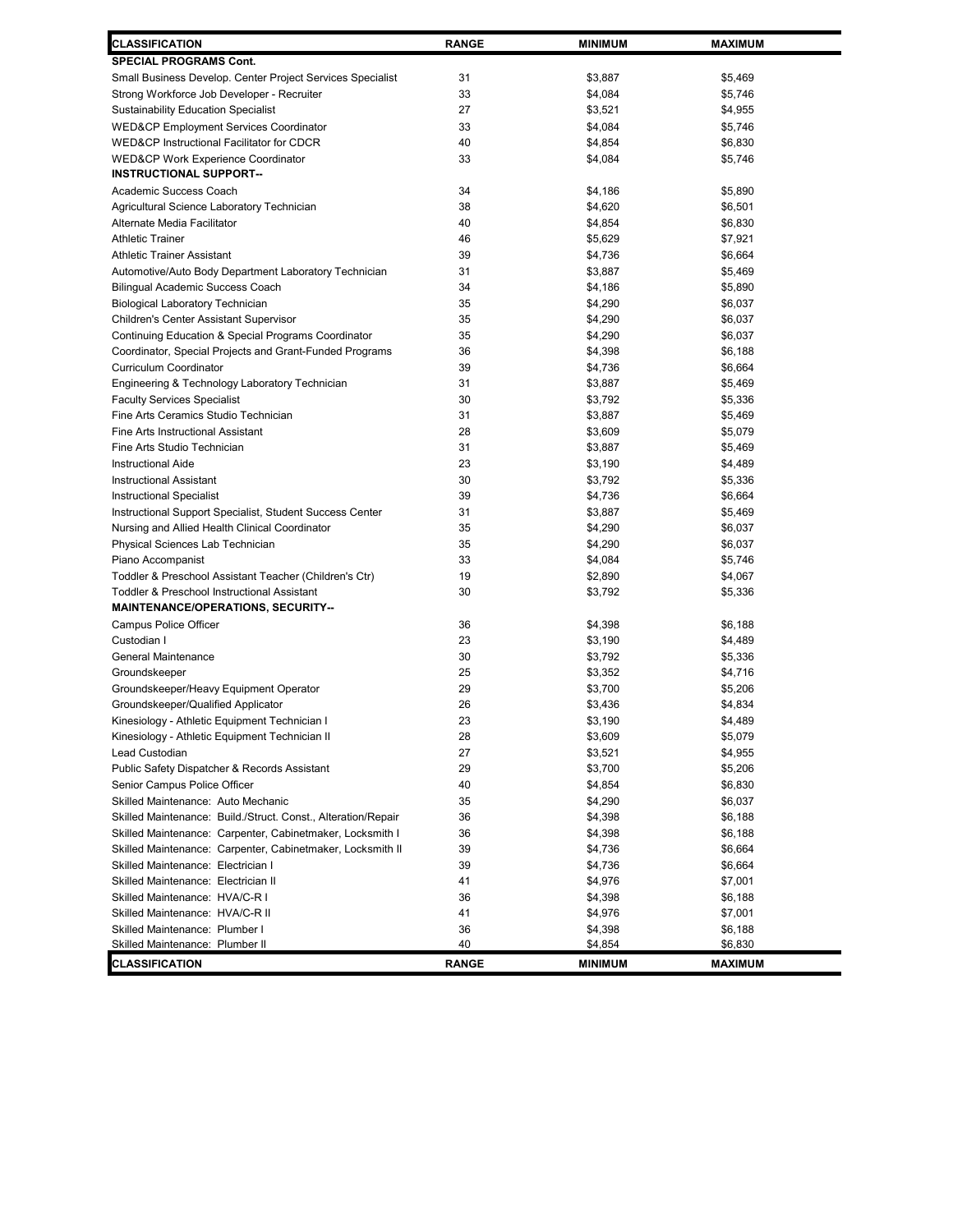| <b>CLASSIFICATION</b>                                         | <b>RANGE</b> | <b>MINIMUM</b> | <b>MAXIMUM</b> |  |
|---------------------------------------------------------------|--------------|----------------|----------------|--|
| SPECIAL PROGRAMS Cont.                                        |              |                |                |  |
| Small Business Develop. Center Project Services Specialist    | 31           | \$3,887        | \$5,469        |  |
| Strong Workforce Job Developer - Recruiter                    | 33           | \$4,084        | \$5,746        |  |
| <b>Sustainability Education Specialist</b>                    | 27           | \$3,521        | \$4,955        |  |
| <b>WED&amp;CP Employment Services Coordinator</b>             | 33           | \$4,084        | \$5,746        |  |
| <b>WED&amp;CP Instructional Facilitator for CDCR</b>          | 40           | \$4,854        | \$6,830        |  |
| <b>WED&amp;CP Work Experience Coordinator</b>                 | 33           | \$4,084        | \$5,746        |  |
| <b>INSTRUCTIONAL SUPPORT--</b>                                |              |                |                |  |
| Academic Success Coach                                        | 34           | \$4,186        | \$5,890        |  |
| Agricultural Science Laboratory Technician                    | 38           | \$4,620        | \$6,501        |  |
| Alternate Media Facilitator                                   | 40           | \$4,854        | \$6,830        |  |
| <b>Athletic Trainer</b>                                       | 46           | \$5,629        | \$7,921        |  |
| <b>Athletic Trainer Assistant</b>                             | 39           | \$4,736        | \$6,664        |  |
| Automotive/Auto Body Department Laboratory Technician         | 31           | \$3,887        | \$5,469        |  |
| Bilingual Academic Success Coach                              | 34           | \$4,186        | \$5,890        |  |
| <b>Biological Laboratory Technician</b>                       | 35           | \$4,290        | \$6,037        |  |
| Children's Center Assistant Supervisor                        | 35           | \$4,290        | \$6,037        |  |
| Continuing Education & Special Programs Coordinator           | 35           | \$4,290        | \$6,037        |  |
| Coordinator, Special Projects and Grant-Funded Programs       | 36           | \$4,398        | \$6,188        |  |
| Curriculum Coordinator                                        | 39           | \$4,736        | \$6,664        |  |
| Engineering & Technology Laboratory Technician                | 31           | \$3,887        | \$5,469        |  |
| <b>Faculty Services Specialist</b>                            | 30           | \$3,792        | \$5,336        |  |
| Fine Arts Ceramics Studio Technician                          | 31           | \$3,887        | \$5,469        |  |
| Fine Arts Instructional Assistant                             | 28           | \$3,609        | \$5,079        |  |
| Fine Arts Studio Technician                                   | 31           | \$3,887        | \$5,469        |  |
| <b>Instructional Aide</b>                                     | 23           | \$3,190        | \$4,489        |  |
| <b>Instructional Assistant</b>                                | 30           | \$3,792        | \$5,336        |  |
| Instructional Specialist                                      | 39           | \$4,736        | \$6,664        |  |
| Instructional Support Specialist, Student Success Center      | 31           | \$3,887        | \$5,469        |  |
| Nursing and Allied Health Clinical Coordinator                | 35           | \$4,290        | \$6,037        |  |
| Physical Sciences Lab Technician                              | 35           | \$4,290        | \$6,037        |  |
| Piano Accompanist                                             | 33           | \$4,084        | \$5,746        |  |
| Toddler & Preschool Assistant Teacher (Children's Ctr)        | 19           | \$2,890        | \$4,067        |  |
| <b>Toddler &amp; Preschool Instructional Assistant</b>        | 30           | \$3,792        | \$5,336        |  |
| <b>MAINTENANCE/OPERATIONS, SECURITY--</b>                     |              |                |                |  |
| <b>Campus Police Officer</b>                                  | 36           | \$4,398        | \$6,188        |  |
| Custodian I                                                   | 23           | \$3,190        | \$4,489        |  |
| General Maintenance                                           | 30           | \$3,792        | \$5,336        |  |
| Groundskeeper                                                 | 25           | \$3,352        | \$4,716        |  |
| Groundskeeper/Heavy Equipment Operator                        | 29           | \$3,700        | \$5,206        |  |
| Groundskeeper/Qualified Applicator                            | 26           | \$3,436        | \$4,834        |  |
| Kinesiology - Athletic Equipment Technician I                 | 23           | \$3,190        | \$4,489        |  |
| Kinesiology - Athletic Equipment Technician II                | 28           | \$3,609        | \$5,079        |  |
| Lead Custodian                                                | 27           | \$3,521        | \$4,955        |  |
| Public Safety Dispatcher & Records Assistant                  | 29           | \$3,700        | \$5,206        |  |
| Senior Campus Police Officer                                  | 40           | \$4,854        | \$6,830        |  |
| Skilled Maintenance: Auto Mechanic                            | 35           | \$4,290        | \$6,037        |  |
| Skilled Maintenance: Build./Struct. Const., Alteration/Repair | 36           | \$4,398        | \$6,188        |  |
| Skilled Maintenance: Carpenter, Cabinetmaker, Locksmith I     | 36           | \$4,398        | \$6,188        |  |
| Skilled Maintenance: Carpenter, Cabinetmaker, Locksmith II    | 39           | \$4,736        | \$6,664        |  |
| Skilled Maintenance: Electrician I                            | 39           | \$4,736        | \$6,664        |  |
| Skilled Maintenance: Electrician II                           | 41           | \$4,976        | \$7,001        |  |
| Skilled Maintenance: HVA/C-R I                                | 36           | \$4,398        | \$6,188        |  |
| Skilled Maintenance: HVA/C-R II                               | 41           | \$4,976        | \$7,001        |  |
| Skilled Maintenance: Plumber I                                | 36           | \$4,398        | \$6,188        |  |
| Skilled Maintenance: Plumber II                               | 40           | \$4,854        | \$6,830        |  |
| CLASSIFICATION                                                | <b>RANGE</b> | <b>MINIMUM</b> | <b>MAXIMUM</b> |  |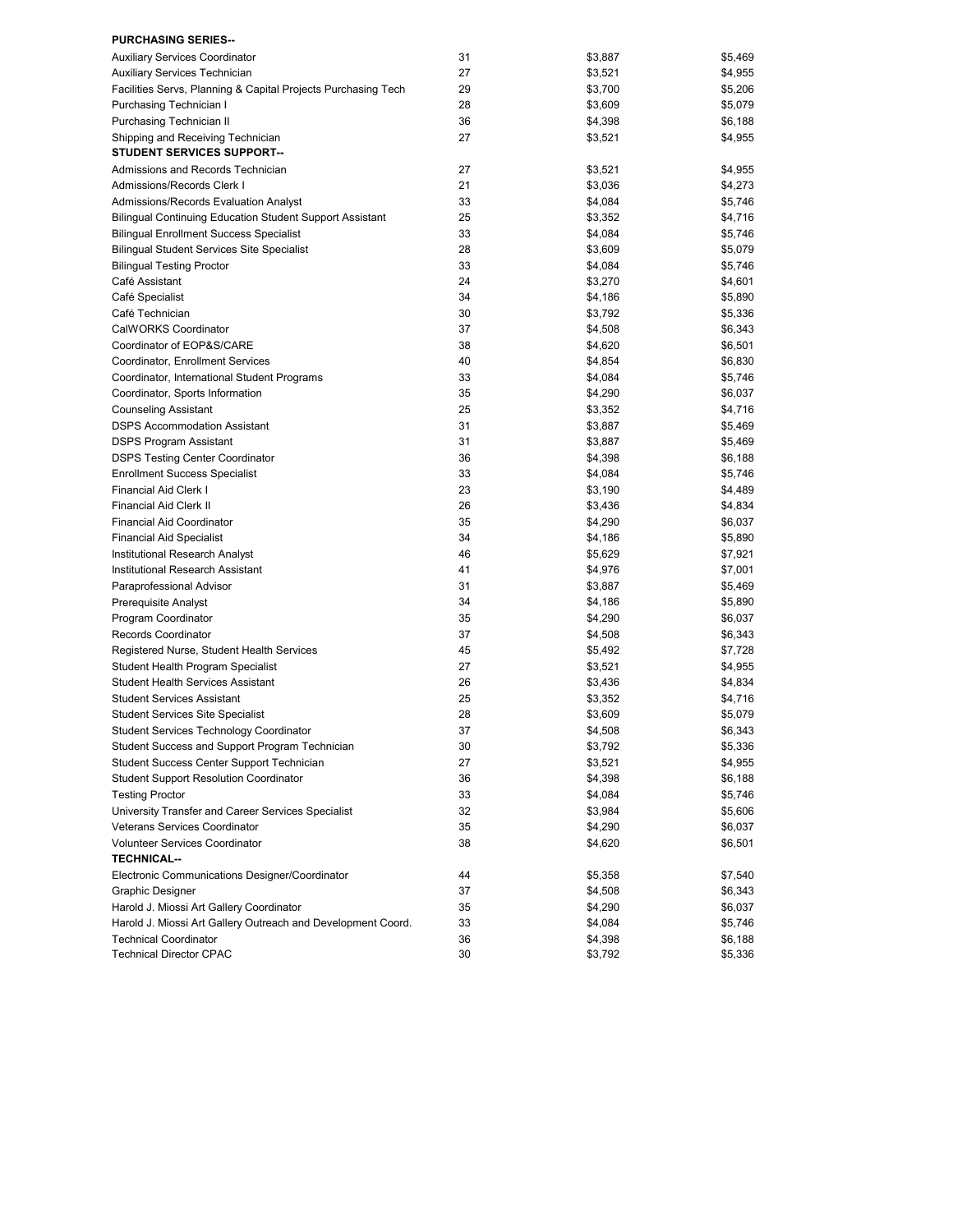| <b>PURCHASING SERIES--</b>                                                     |          |                    |                    |
|--------------------------------------------------------------------------------|----------|--------------------|--------------------|
| <b>Auxiliary Services Coordinator</b>                                          | 31       | \$3,887            | \$5,469            |
| Auxiliary Services Technician                                                  | 27       | \$3,521            | \$4,955            |
| Facilities Servs, Planning & Capital Projects Purchasing Tech                  | 29       | \$3,700            | \$5,206            |
| Purchasing Technician I                                                        | 28       | \$3,609            | \$5,079            |
| Purchasing Technician II                                                       | 36       | \$4,398            | \$6,188            |
| Shipping and Receiving Technician                                              | 27       | \$3,521            | \$4,955            |
| <b>STUDENT SERVICES SUPPORT--</b>                                              |          |                    |                    |
| Admissions and Records Technician                                              | 27       | \$3,521            | \$4,955            |
| Admissions/Records Clerk I                                                     | 21       | \$3,036            | \$4,273            |
| Admissions/Records Evaluation Analyst                                          | 33       | \$4,084            | \$5,746            |
| Bilingual Continuing Education Student Support Assistant                       | 25       | \$3,352            | \$4,716            |
| <b>Bilingual Enrollment Success Specialist</b>                                 | 33       | \$4,084            | \$5,746            |
| <b>Bilingual Student Services Site Specialist</b>                              | 28       | \$3,609            | \$5,079            |
| <b>Bilingual Testing Proctor</b>                                               | 33       | \$4,084            | \$5,746            |
| Café Assistant                                                                 | 24       | \$3,270            | \$4,601            |
| Café Specialist                                                                | 34       | \$4,186            | \$5,890            |
| Café Technician                                                                | 30       | \$3,792            | \$5,336            |
| CalWORKS Coordinator                                                           | 37       | \$4,508            | \$6,343            |
| Coordinator of EOP&S/CARE                                                      | 38       | \$4,620            | \$6,501            |
| Coordinator, Enrollment Services                                               | 40       | \$4,854            | \$6,830            |
| Coordinator, International Student Programs                                    | 33       | \$4,084            | \$5,746            |
| Coordinator, Sports Information                                                | 35       | \$4,290            | \$6,037            |
| <b>Counseling Assistant</b>                                                    | 25       | \$3,352            | \$4,716            |
| <b>DSPS Accommodation Assistant</b>                                            | 31       | \$3,887            | \$5,469            |
| DSPS Program Assistant                                                         | 31       | \$3,887            | \$5,469            |
| <b>DSPS Testing Center Coordinator</b>                                         | 36       | \$4,398            | \$6,188            |
| <b>Enrollment Success Specialist</b>                                           | 33       | \$4,084            | \$5,746            |
| Financial Aid Clerk I                                                          | 23       | \$3,190            | \$4,489            |
| <b>Financial Aid Clerk II</b>                                                  | 26       | \$3,436            | \$4,834            |
| <b>Financial Aid Coordinator</b>                                               | 35       | \$4,290            | \$6,037            |
| <b>Financial Aid Specialist</b>                                                | 34       | \$4,186            | \$5,890            |
| Institutional Research Analyst                                                 | 46       | \$5,629            | \$7,921            |
| Institutional Research Assistant                                               | 41       | \$4,976            | \$7,001            |
| Paraprofessional Advisor                                                       | 31       | \$3,887            |                    |
|                                                                                | 34       |                    | \$5,469            |
| Prerequisite Analyst                                                           | 35       | \$4,186<br>\$4,290 | \$5,890<br>\$6,037 |
| Program Coordinator<br>Records Coordinator                                     | 37       |                    |                    |
|                                                                                | 45       | \$4,508            | \$6,343<br>\$7,728 |
| Registered Nurse, Student Health Services<br>Student Health Program Specialist |          | \$5,492            |                    |
| <b>Student Health Services Assistant</b>                                       | 27       | \$3,521            | \$4,955            |
|                                                                                | 26       | \$3,436            | \$4,834            |
| <b>Student Services Assistant</b>                                              | 25<br>28 | \$3,352            | \$4,716            |
| <b>Student Services Site Specialist</b>                                        |          | \$3,609            | \$5,079            |
| Student Services Technology Coordinator                                        | 37       | \$4,508            | \$6,343            |
| Student Success and Support Program Technician                                 | 30       | \$3,792            | \$5,336            |
| Student Success Center Support Technician                                      | 27       | \$3,521            | \$4,955            |
| <b>Student Support Resolution Coordinator</b>                                  | 36       | \$4,398            | \$6,188            |
| <b>Testing Proctor</b>                                                         | 33       | \$4,084            | \$5,746            |
| University Transfer and Career Services Specialist                             | 32       | \$3,984            | \$5,606            |
| Veterans Services Coordinator                                                  | 35       | \$4,290            | \$6,037            |
| <b>Volunteer Services Coordinator</b>                                          | 38       | \$4,620            | \$6,501            |
| <b>TECHNICAL--</b>                                                             |          |                    |                    |
| Electronic Communications Designer/Coordinator                                 | 44       | \$5,358            | \$7,540            |
| <b>Graphic Designer</b>                                                        | 37       | \$4,508            | \$6,343            |
| Harold J. Miossi Art Gallery Coordinator                                       | 35       | \$4,290            | \$6,037            |
| Harold J. Miossi Art Gallery Outreach and Development Coord.                   | 33       | \$4,084            | \$5,746            |
| <b>Technical Coordinator</b>                                                   | 36       | \$4,398            | \$6,188            |
| <b>Technical Director CPAC</b>                                                 | 30       | \$3,792            | \$5,336            |